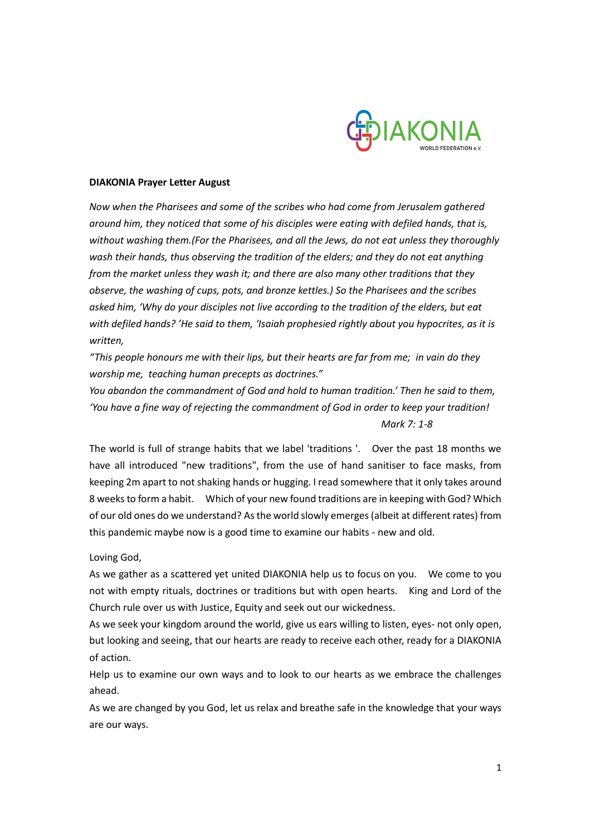

## **DIAKONIA Prayer Letter August**

*Now when the Pharisees and some of the scribes who had come from Jerusalem gathered around him, they noticed that some of his disciples were eating with defiled hands, that is, without washing them.(For the Pharisees, and all the Jews, do not eat unless they thoroughly wash their hands, thus observing the tradition of the elders; and they do not eat anything from the market unless they wash it; and there are also many other traditions that they observe, the washing of cups, pots, and bronze kettles.) So the Pharisees and the scribes asked him, 'Why do your disciples not live according to the tradition of the elders, but eat with defiled hands? 'He said to them, 'Isaiah prophesied rightly about you hypocrites, as it is written,*

*"This people honours me with their lips, but their hearts are far from me; in vain do they worship me, teaching human precepts as doctrines."*

*You abandon the commandment of God and hold to human tradition.' Then he said to them, 'You have a fine way of rejecting the commandment of God in order to keep your tradition! Mark 7: 1-8*

The world is full of strange habits that we label 'traditions '. Over the past 18 months we have all introduced "new traditions", from the use of hand sanitiser to face masks, from keeping 2m apart to not shaking hands or hugging. I read somewhere that it only takes around 8 weeks to form a habit. Which of your new found traditions are in keeping with God? Which of our old ones do we understand? As the world slowly emerges (albeit at different rates) from this pandemic maybe now is a good time to examine our habits - new and old.

## Loving God,

As we gather as a scattered yet united DIAKONIA help us to focus on you. We come to you not with empty rituals, doctrines or traditions but with open hearts. King and Lord of the Church rule over us with Justice, Equity and seek out our wickedness.

As we seek your kingdom around the world, give us ears willing to listen, eyes- not only open, but looking and seeing, that our hearts are ready to receive each other, ready for a DIAKONIA of action.

Help us to examine our own ways and to look to our hearts as we embrace the challenges ahead.

As we are changed by you God, let us relax and breathe safe in the knowledge that your ways are our ways.